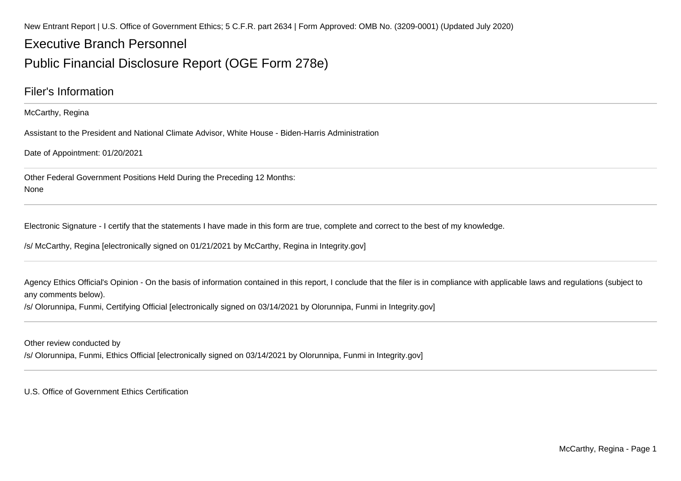New Entrant Report | U.S. Office of Government Ethics; 5 C.F.R. part 2634 | Form Approved: OMB No. (3209-0001) (Updated July 2020)

## Executive Branch Personnel

### Public Financial Disclosure Report (OGE Form 278e)

### Filer's Information

McCarthy, Regina

Assistant to the President and National Climate Advisor, White House - Biden-Harris Administration

Date of Appointment: 01/20/2021

Other Federal Government Positions Held During the Preceding 12 Months:None

Electronic Signature - I certify that the statements I have made in this form are true, complete and correct to the best of my knowledge.

/s/ McCarthy, Regina [electronically signed on 01/21/2021 by McCarthy, Regina in Integrity.gov]

Agency Ethics Official's Opinion - On the basis of information contained in this report, I conclude that the filer is in compliance with applicable laws and regulations (subject to any comments below).

/s/ Olorunnipa, Funmi, Certifying Official [electronically signed on 03/14/2021 by Olorunnipa, Funmi in Integrity.gov]

Other review conducted by

/s/ Olorunnipa, Funmi, Ethics Official [electronically signed on 03/14/2021 by Olorunnipa, Funmi in Integrity.gov]

U.S. Office of Government Ethics Certification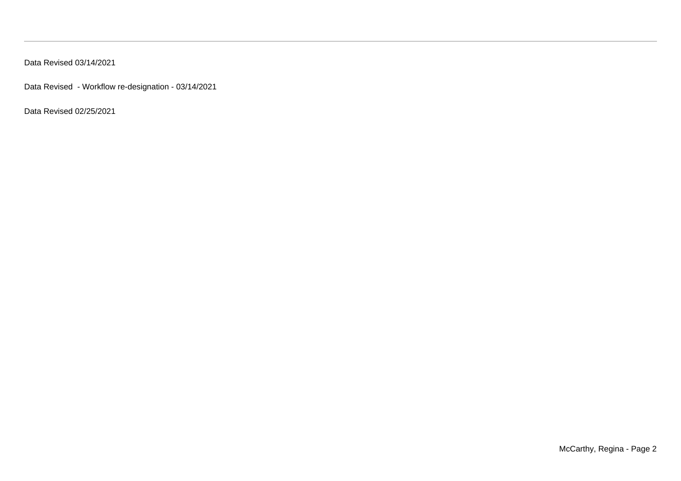Data Revised 03/14/2021

Data Revised - Workflow re-designation - 03/14/2021

Data Revised 02/25/2021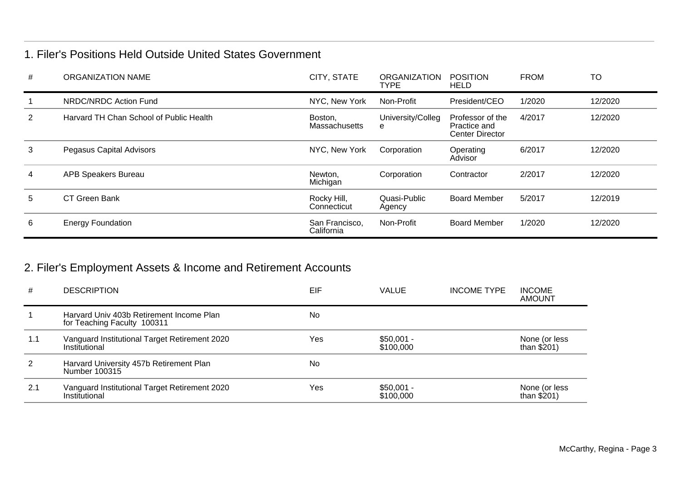### 1. Filer's Positions Held Outside United States Government

| # | <b>ORGANIZATION NAME</b>                | CITY, STATE                  | <b>ORGANIZATION</b><br><b>TYPE</b> | <b>POSITION</b><br><b>HELD</b>                             | <b>FROM</b> | <b>TO</b> |
|---|-----------------------------------------|------------------------------|------------------------------------|------------------------------------------------------------|-------------|-----------|
|   | NRDC/NRDC Action Fund                   | NYC, New York                | Non-Profit                         | President/CEO                                              | 1/2020      | 12/2020   |
| 2 | Harvard TH Chan School of Public Health | Boston,<br>Massachusetts     | University/Colleg<br>e             | Professor of the<br>Practice and<br><b>Center Director</b> | 4/2017      | 12/2020   |
| 3 | Pegasus Capital Advisors                | NYC, New York                | Corporation                        | Operating<br>Advisor                                       | 6/2017      | 12/2020   |
| 4 | <b>APB Speakers Bureau</b>              | Newton.<br>Michigan          | Corporation                        | Contractor                                                 | 2/2017      | 12/2020   |
| 5 | CT Green Bank                           | Rocky Hill,<br>Connecticut   | Quasi-Public<br>Agency             | <b>Board Member</b>                                        | 5/2017      | 12/2019   |
| 6 | <b>Energy Foundation</b>                | San Francisco,<br>California | Non-Profit                         | <b>Board Member</b>                                        | 1/2020      | 12/2020   |

## 2. Filer's Employment Assets & Income and Retirement Accounts

| #           | <b>DESCRIPTION</b>                                                      | EIF | <b>VALUE</b>             | <b>INCOME TYPE</b> | <b>INCOME</b><br><b>AMOUNT</b> |
|-------------|-------------------------------------------------------------------------|-----|--------------------------|--------------------|--------------------------------|
| $\mathbf 1$ | Harvard Univ 403b Retirement Income Plan<br>for Teaching Faculty 100311 | No  |                          |                    |                                |
| 1.1         | Vanguard Institutional Target Retirement 2020<br>Institutional          | Yes | $$50,001 -$<br>\$100,000 |                    | None (or less<br>than $$201)$  |
| 2           | Harvard University 457b Retirement Plan<br>Number 100315                | No  |                          |                    |                                |
| 2.1         | Vanguard Institutional Target Retirement 2020<br>Institutional          | Yes | $$50,001 -$<br>\$100,000 |                    | None (or less<br>than $$201)$  |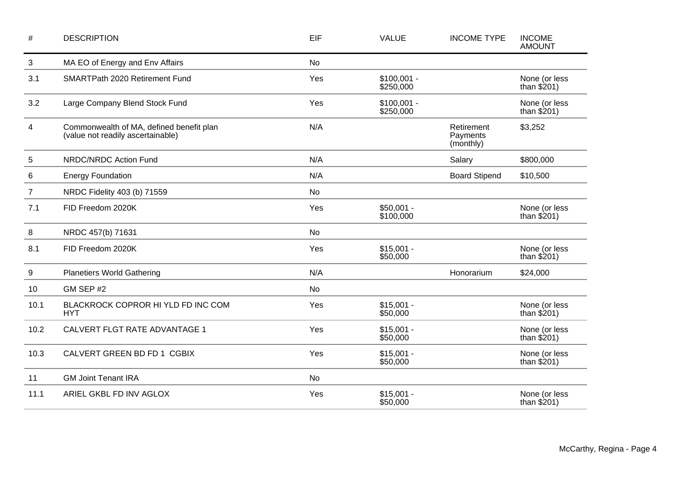| $\#$           | <b>DESCRIPTION</b>                                                            | EIF       | <b>VALUE</b>              | <b>INCOME TYPE</b>                  | <b>INCOME</b><br><b>AMOUNT</b> |
|----------------|-------------------------------------------------------------------------------|-----------|---------------------------|-------------------------------------|--------------------------------|
| 3              | MA EO of Energy and Env Affairs                                               | <b>No</b> |                           |                                     |                                |
| 3.1            | SMARTPath 2020 Retirement Fund                                                | Yes       | $$100,001 -$<br>\$250,000 |                                     | None (or less<br>than $$201)$  |
| 3.2            | Large Company Blend Stock Fund                                                | Yes       | $$100,001 -$<br>\$250,000 |                                     | None (or less<br>than $$201)$  |
| 4              | Commonwealth of MA, defined benefit plan<br>(value not readily ascertainable) | N/A       |                           | Retirement<br>Payments<br>(monthly) | \$3,252                        |
| 5              | NRDC/NRDC Action Fund                                                         | N/A       |                           | Salary                              | \$800,000                      |
| 6              | <b>Energy Foundation</b>                                                      | N/A       |                           | <b>Board Stipend</b>                | \$10,500                       |
| $\overline{7}$ | NRDC Fidelity 403 (b) 71559                                                   | No        |                           |                                     |                                |
| 7.1            | FID Freedom 2020K                                                             | Yes       | $$50,001 -$<br>\$100,000  |                                     | None (or less<br>than $$201)$  |
| 8              | NRDC 457(b) 71631                                                             | No        |                           |                                     |                                |
| 8.1            | FID Freedom 2020K                                                             | Yes       | $$15,001 -$<br>\$50,000   |                                     | None (or less<br>than $$201)$  |
| 9              | <b>Planetiers World Gathering</b>                                             | N/A       |                           | Honorarium                          | \$24,000                       |
| 10             | GM SEP #2                                                                     | No        |                           |                                     |                                |
| 10.1           | BLACKROCK COPROR HI YLD FD INC COM<br><b>HYT</b>                              | Yes       | $$15,001 -$<br>\$50,000   |                                     | None (or less<br>than $$201)$  |
| 10.2           | CALVERT FLGT RATE ADVANTAGE 1                                                 | Yes       | $$15,001 -$<br>\$50,000   |                                     | None (or less<br>than $$201)$  |
| 10.3           | CALVERT GREEN BD FD 1 CGBIX                                                   | Yes       | $$15,001 -$<br>\$50,000   |                                     | None (or less<br>than $$201)$  |
| 11             | <b>GM Joint Tenant IRA</b>                                                    | <b>No</b> |                           |                                     |                                |
| 11.1           | ARIEL GKBL FD INV AGLOX                                                       | Yes       | $$15,001 -$<br>\$50,000   |                                     | None (or less<br>than $$201)$  |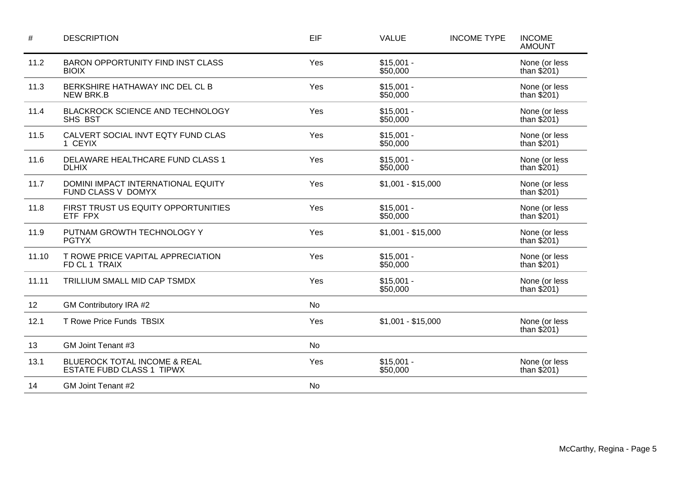| #     | <b>DESCRIPTION</b>                                               | EIF       | <b>VALUE</b>            | <b>INCOME TYPE</b> | <b>INCOME</b><br><b>AMOUNT</b> |
|-------|------------------------------------------------------------------|-----------|-------------------------|--------------------|--------------------------------|
| 11.2  | <b>BARON OPPORTUNITY FIND INST CLASS</b><br><b>BIOIX</b>         | Yes       | $$15,001 -$<br>\$50,000 |                    | None (or less<br>than $$201)$  |
| 11.3  | BERKSHIRE HATHAWAY INC DEL CL B<br><b>NEW BRK.B</b>              | Yes       | $$15,001 -$<br>\$50,000 |                    | None (or less<br>than $$201)$  |
| 11.4  | BLACKROCK SCIENCE AND TECHNOLOGY<br>SHS BST                      | Yes       | $$15,001 -$<br>\$50,000 |                    | None (or less<br>than $$201)$  |
| 11.5  | CALVERT SOCIAL INVT EQTY FUND CLAS<br>1 CEYIX                    | Yes       | $$15,001 -$<br>\$50,000 |                    | None (or less<br>than $$201)$  |
| 11.6  | DELAWARE HEALTHCARE FUND CLASS 1<br><b>DLHIX</b>                 | Yes       | $$15,001 -$<br>\$50,000 |                    | None (or less<br>than $$201)$  |
| 11.7  | DOMINI IMPACT INTERNATIONAL EQUITY<br>FUND CLASS V DOMYX         | Yes       | $$1,001 - $15,000$      |                    | None (or less<br>than $$201)$  |
| 11.8  | FIRST TRUST US EQUITY OPPORTUNITIES<br>ETF FPX                   | Yes       | $$15,001 -$<br>\$50,000 |                    | None (or less<br>than $$201)$  |
| 11.9  | PUTNAM GROWTH TECHNOLOGY Y<br><b>PGTYX</b>                       | Yes       | $$1,001 - $15,000$      |                    | None (or less<br>than $$201)$  |
| 11.10 | T ROWE PRICE VAPITAL APPRECIATION<br>FD CL 1 TRAIX               | Yes       | $$15,001 -$<br>\$50,000 |                    | None (or less<br>than $$201)$  |
| 11.11 | TRILLIUM SMALL MID CAP TSMDX                                     | Yes       | $$15,001 -$<br>\$50,000 |                    | None (or less<br>than $$201)$  |
| 12    | GM Contributory IRA #2                                           | <b>No</b> |                         |                    |                                |
| 12.1  | T Rowe Price Funds TBSIX                                         | Yes       | $$1,001 - $15,000$      |                    | None (or less<br>than $$201)$  |
| 13    | GM Joint Tenant #3                                               | No        |                         |                    |                                |
| 13.1  | BLUEROCK TOTAL INCOME & REAL<br><b>ESTATE FUBD CLASS 1 TIPWX</b> | Yes       | $$15,001 -$<br>\$50,000 |                    | None (or less<br>than $$201)$  |
| 14    | GM Joint Tenant #2                                               | No        |                         |                    |                                |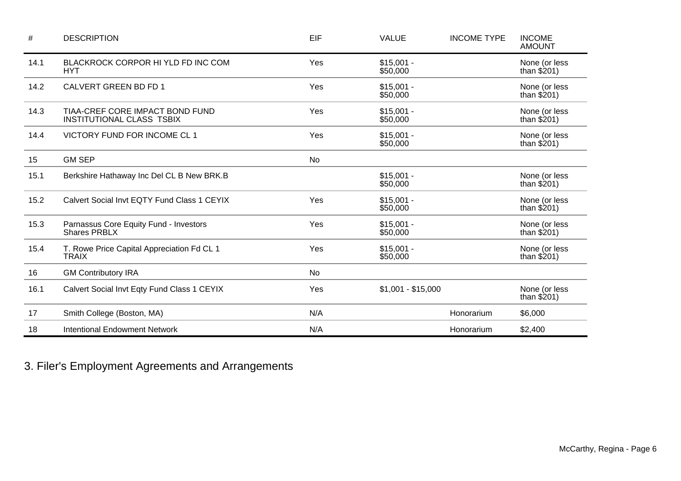| #    | <b>DESCRIPTION</b>                                                  | EIF       | <b>VALUE</b>            | <b>INCOME TYPE</b> | <b>INCOME</b><br><b>AMOUNT</b> |
|------|---------------------------------------------------------------------|-----------|-------------------------|--------------------|--------------------------------|
| 14.1 | BLACKROCK CORPOR HI YLD FD INC COM<br><b>HYT</b>                    | Yes       | $$15,001 -$<br>\$50,000 |                    | None (or less<br>than $$201)$  |
| 14.2 | CALVERT GREEN BD FD 1                                               | Yes       | $$15,001 -$<br>\$50,000 |                    | None (or less<br>than $$201$ ) |
| 14.3 | TIAA-CREF CORE IMPACT BOND FUND<br><b>INSTITUTIONAL CLASS TSBIX</b> | Yes       | $$15,001 -$<br>\$50,000 |                    | None (or less<br>than $$201)$  |
| 14.4 | VICTORY FUND FOR INCOME CL 1                                        | Yes       | $$15,001 -$<br>\$50,000 |                    | None (or less<br>than $$201$ ) |
| 15   | <b>GM SEP</b>                                                       | No        |                         |                    |                                |
| 15.1 | Berkshire Hathaway Inc Del CL B New BRK.B                           |           | $$15,001 -$<br>\$50,000 |                    | None (or less<br>than $$201)$  |
| 15.2 | Calvert Social Invt EQTY Fund Class 1 CEYIX                         | Yes       | $$15,001 -$<br>\$50,000 |                    | None (or less<br>than $$201)$  |
| 15.3 | Parnassus Core Equity Fund - Investors<br><b>Shares PRBLX</b>       | Yes       | $$15,001 -$<br>\$50,000 |                    | None (or less<br>than $$201)$  |
| 15.4 | T. Rowe Price Capital Appreciation Fd CL 1<br><b>TRAIX</b>          | Yes       | $$15,001 -$<br>\$50,000 |                    | None (or less<br>than $$201)$  |
| 16   | <b>GM Contributory IRA</b>                                          | <b>No</b> |                         |                    |                                |
| 16.1 | Calvert Social Invt Eqty Fund Class 1 CEYIX                         | Yes       | $$1,001 - $15,000$      |                    | None (or less<br>than $$201)$  |
| 17   | Smith College (Boston, MA)                                          | N/A       |                         | Honorarium         | \$6,000                        |
| 18   | <b>Intentional Endowment Network</b>                                | N/A       |                         | Honorarium         | \$2,400                        |

3. Filer's Employment Agreements and Arrangements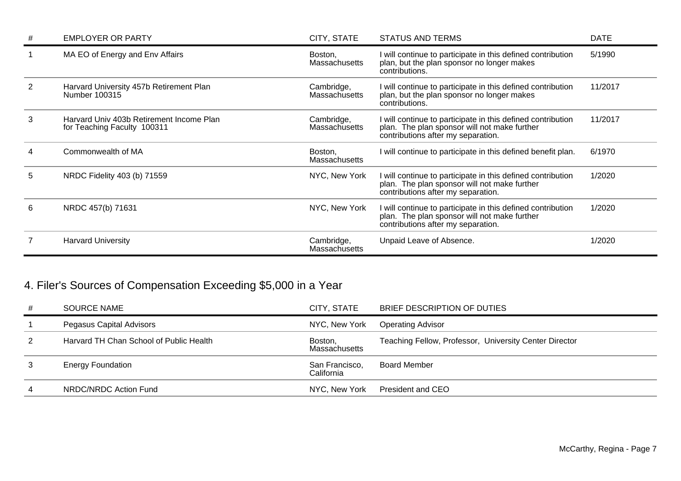| #              | <b>EMPLOYER OR PARTY</b>                                                | CITY, STATE                        | <b>STATUS AND TERMS</b>                                                                                                                           | <b>DATE</b> |
|----------------|-------------------------------------------------------------------------|------------------------------------|---------------------------------------------------------------------------------------------------------------------------------------------------|-------------|
|                | MA EO of Energy and Env Affairs                                         | Boston,<br>Massachusetts           | I will continue to participate in this defined contribution<br>plan, but the plan sponsor no longer makes<br>contributions.                       | 5/1990      |
| $\overline{2}$ | Harvard University 457b Retirement Plan<br>Number 100315                | Cambridge,<br><b>Massachusetts</b> | will continue to participate in this defined contribution<br>plan, but the plan sponsor no longer makes<br>contributions.                         | 11/2017     |
| 3              | Harvard Univ 403b Retirement Income Plan<br>for Teaching Faculty 100311 | Cambridge,<br><b>Massachusetts</b> | will continue to participate in this defined contribution<br>plan. The plan sponsor will not make further<br>contributions after my separation.   | 11/2017     |
|                | Commonwealth of MA                                                      | Boston,<br><b>Massachusetts</b>    | will continue to participate in this defined benefit plan.                                                                                        | 6/1970      |
| 5              | NRDC Fidelity 403 (b) 71559                                             | NYC, New York                      | I will continue to participate in this defined contribution<br>plan. The plan sponsor will not make further<br>contributions after my separation. | 1/2020      |
| 6              | NRDC 457(b) 71631                                                       | NYC, New York                      | I will continue to participate in this defined contribution<br>plan. The plan sponsor will not make further<br>contributions after my separation. | 1/2020      |
|                | <b>Harvard University</b>                                               | Cambridge,<br><b>Massachusetts</b> | Unpaid Leave of Absence.                                                                                                                          | 1/2020      |

# 4. Filer's Sources of Compensation Exceeding \$5,000 in a Year

| # | <b>SOURCE NAME</b>                      | CITY. STATE                  | BRIEF DESCRIPTION OF DUTIES                            |
|---|-----------------------------------------|------------------------------|--------------------------------------------------------|
|   | Pegasus Capital Advisors                | NYC, New York                | <b>Operating Advisor</b>                               |
| 2 | Harvard TH Chan School of Public Health | Boston,<br>Massachusetts     | Teaching Fellow, Professor, University Center Director |
|   | <b>Energy Foundation</b>                | San Francisco,<br>California | Board Member                                           |
| 4 | NRDC/NRDC Action Fund                   |                              | NYC, New York President and CEO                        |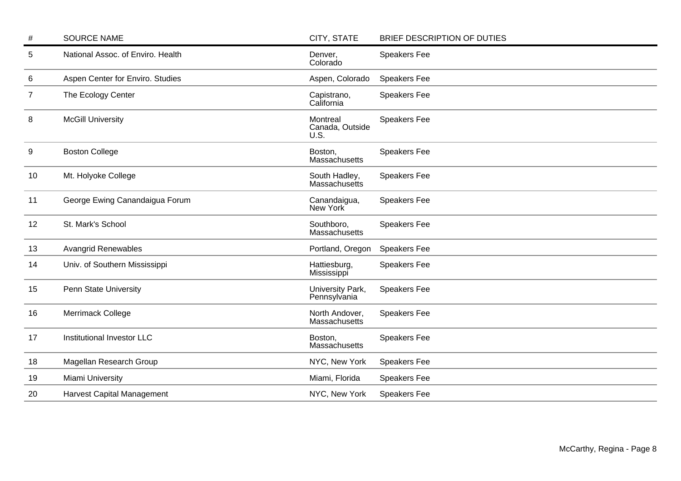| #  | <b>SOURCE NAME</b>                | CITY, STATE                         | BRIEF DESCRIPTION OF DUTIES |
|----|-----------------------------------|-------------------------------------|-----------------------------|
| 5  | National Assoc. of Enviro. Health | Denver,<br>Colorado                 | <b>Speakers Fee</b>         |
| 6  | Aspen Center for Enviro. Studies  | Aspen, Colorado                     | <b>Speakers Fee</b>         |
| 7  | The Ecology Center                | Capistrano,<br>California           | Speakers Fee                |
| 8  | <b>McGill University</b>          | Montreal<br>Canada, Outside<br>U.S. | Speakers Fee                |
| 9  | <b>Boston College</b>             | Boston,<br>Massachusetts            | <b>Speakers Fee</b>         |
| 10 | Mt. Holyoke College               | South Hadley,<br>Massachusetts      | Speakers Fee                |
| 11 | George Ewing Canandaigua Forum    | Canandaigua,<br>New York            | <b>Speakers Fee</b>         |
| 12 | St. Mark's School                 | Southboro,<br>Massachusetts         | Speakers Fee                |
| 13 | <b>Avangrid Renewables</b>        | Portland, Oregon                    | <b>Speakers Fee</b>         |
| 14 | Univ. of Southern Mississippi     | Hattiesburg,<br>Mississippi         | <b>Speakers Fee</b>         |
| 15 | Penn State University             | University Park,<br>Pennsylvania    | <b>Speakers Fee</b>         |
| 16 | <b>Merrimack College</b>          | North Andover,<br>Massachusetts     | <b>Speakers Fee</b>         |
| 17 | Institutional Investor LLC        | Boston,<br>Massachusetts            | Speakers Fee                |
| 18 | Magellan Research Group           | NYC, New York                       | <b>Speakers Fee</b>         |
| 19 | Miami University                  | Miami, Florida                      | <b>Speakers Fee</b>         |
| 20 | <b>Harvest Capital Management</b> | NYC, New York                       | <b>Speakers Fee</b>         |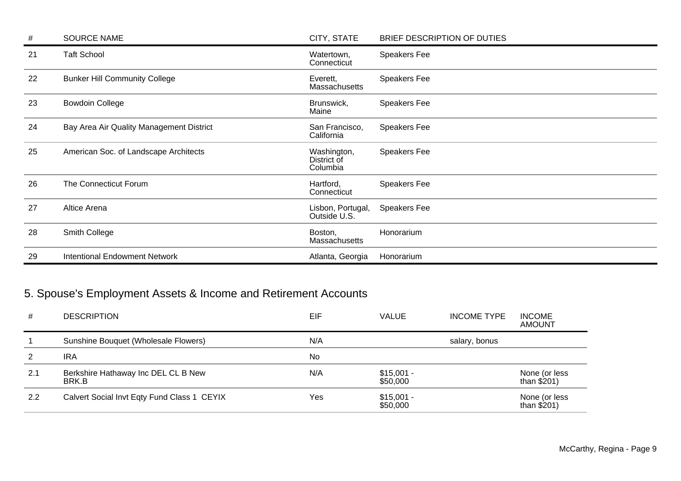| #  | <b>SOURCE NAME</b>                       | CITY, STATE                            | BRIEF DESCRIPTION OF DUTIES |
|----|------------------------------------------|----------------------------------------|-----------------------------|
| 21 | <b>Taft School</b>                       | Watertown,<br>Connecticut              | Speakers Fee                |
| 22 | <b>Bunker Hill Community College</b>     | Everett,<br>Massachusetts              | <b>Speakers Fee</b>         |
| 23 | <b>Bowdoin College</b>                   | Brunswick,<br>Maine                    | Speakers Fee                |
| 24 | Bay Area Air Quality Management District | San Francisco,<br>California           | Speakers Fee                |
| 25 | American Soc. of Landscape Architects    | Washington,<br>District of<br>Columbia | Speakers Fee                |
| 26 | The Connecticut Forum                    | Hartford,<br>Connecticut               | Speakers Fee                |
| 27 | Altice Arena                             | Lisbon, Portugal,<br>Outside U.S.      | Speakers Fee                |
| 28 | Smith College                            | Boston,<br>Massachusetts               | Honorarium                  |
| 29 | <b>Intentional Endowment Network</b>     | Atlanta, Georgia                       | Honorarium                  |

# 5. Spouse's Employment Assets & Income and Retirement Accounts

| #   | <b>DESCRIPTION</b>                           | EIF | <b>VALUE</b>            | <b>INCOME TYPE</b> | <b>INCOME</b><br><b>AMOUNT</b> |
|-----|----------------------------------------------|-----|-------------------------|--------------------|--------------------------------|
|     | Sunshine Bouquet (Wholesale Flowers)         | N/A |                         | salary, bonus      |                                |
| 2   | <b>IRA</b>                                   | No  |                         |                    |                                |
| 2.1 | Berkshire Hathaway Inc DEL CL B New<br>BRK.B | N/A | $$15,001 -$<br>\$50,000 |                    | None (or less<br>than $$201)$  |
| 2.2 | Calvert Social Invt Eqty Fund Class 1 CEYIX  | Yes | $$15,001 -$<br>\$50,000 |                    | None (or less<br>than $$201)$  |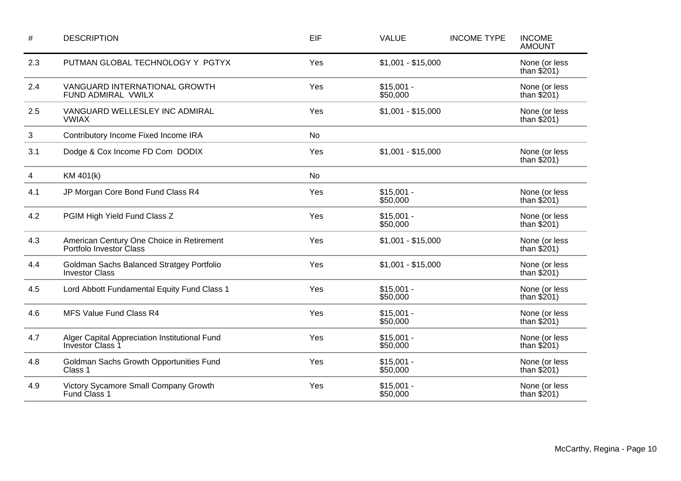| $\#$ | <b>DESCRIPTION</b>                                                   | EIF       | <b>VALUE</b>            | <b>INCOME TYPE</b> | <b>INCOME</b><br><b>AMOUNT</b> |
|------|----------------------------------------------------------------------|-----------|-------------------------|--------------------|--------------------------------|
| 2.3  | PUTMAN GLOBAL TECHNOLOGY Y PGTYX                                     | Yes       | $$1,001 - $15,000$      |                    | None (or less<br>than $$201)$  |
| 2.4  | VANGUARD INTERNATIONAL GROWTH<br>FUND ADMIRAL VWILX                  | Yes       | $$15,001 -$<br>\$50,000 |                    | None (or less<br>than $$201)$  |
| 2.5  | VANGUARD WELLESLEY INC ADMIRAL<br><b>VWIAX</b>                       | Yes       | $$1,001 - $15,000$      |                    | None (or less<br>than $$201)$  |
| 3    | Contributory Income Fixed Income IRA                                 | <b>No</b> |                         |                    |                                |
| 3.1  | Dodge & Cox Income FD Com DODIX                                      | Yes       | $$1,001 - $15,000$      |                    | None (or less<br>than $$201)$  |
| 4    | KM 401(k)                                                            | <b>No</b> |                         |                    |                                |
| 4.1  | JP Morgan Core Bond Fund Class R4                                    | Yes       | $$15,001 -$<br>\$50,000 |                    | None (or less<br>than $$201)$  |
| 4.2  | PGIM High Yield Fund Class Z                                         | Yes       | $$15,001 -$<br>\$50,000 |                    | None (or less<br>than $$201)$  |
| 4.3  | American Century One Choice in Retirement<br>Portfolo Investor Class | Yes       | $$1,001 - $15,000$      |                    | None (or less<br>than $$201)$  |
| 4.4  | Goldman Sachs Balanced Stratgey Portfolio<br><b>Investor Class</b>   | Yes       | $$1,001 - $15,000$      |                    | None (or less<br>than $$201)$  |
| 4.5  | Lord Abbott Fundamental Equity Fund Class 1                          | Yes       | $$15,001 -$<br>\$50,000 |                    | None (or less<br>than $$201)$  |
| 4.6  | MFS Value Fund Class R4                                              | Yes       | $$15,001 -$<br>\$50,000 |                    | None (or less<br>than $$201)$  |
| 4.7  | Alger Capital Appreciation Institutional Fund<br>Investor Class 1    | Yes       | $$15,001 -$<br>\$50,000 |                    | None (or less<br>than $$201)$  |
| 4.8  | Goldman Sachs Growth Opportunities Fund<br>Class 1                   | Yes       | $$15,001 -$<br>\$50,000 |                    | None (or less<br>than $$201)$  |
| 4.9  | Victory Sycamore Small Company Growth<br>Fund Class 1                | Yes       | $$15,001 -$<br>\$50,000 |                    | None (or less<br>than $$201)$  |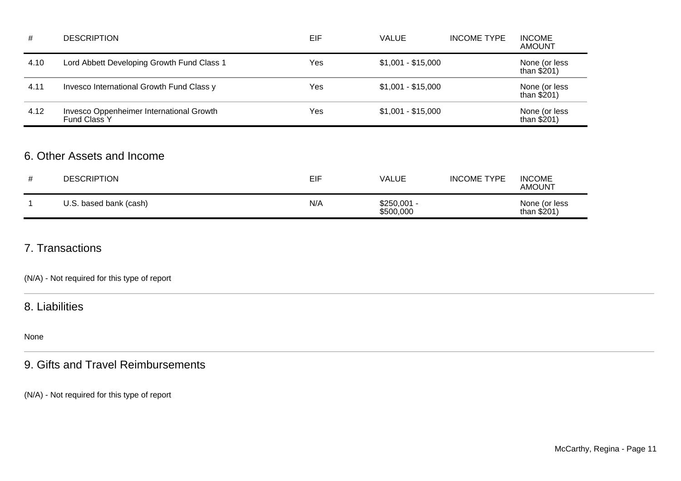| #    | <b>DESCRIPTION</b>                                              | EIF | <b>VALUE</b>       | <b>INCOME TYPE</b> | <b>INCOME</b><br><b>AMOUNT</b> |
|------|-----------------------------------------------------------------|-----|--------------------|--------------------|--------------------------------|
| 4.10 | Lord Abbett Developing Growth Fund Class 1                      | Yes | $$1,001 - $15,000$ |                    | None (or less<br>than $$201)$  |
| 4.11 | Invesco International Growth Fund Class y                       | Yes | $$1,001 - $15,000$ |                    | None (or less<br>than $$201)$  |
| 4.12 | Invesco Oppenheimer International Growth<br><b>Fund Class Y</b> | Yes | $$1,001 - $15,000$ |                    | None (or less<br>than $$201)$  |

### 6. Other Assets and Income

| <b>DESCRIPTION</b>     | <b>EIF</b> | VALUE                     | <b>INCOME TYPE</b> | <b>INCOME</b><br><b>AMOUNT</b> |
|------------------------|------------|---------------------------|--------------------|--------------------------------|
| U.S. based bank (cash) | N/A        | $$250,001 -$<br>\$500,000 |                    | None (or less<br>than $$201)$  |

### 7. Transactions

(N/A) - Not required for this type of report

### 8. Liabilities

None

## 9. Gifts and Travel Reimbursements

(N/A) - Not required for this type of report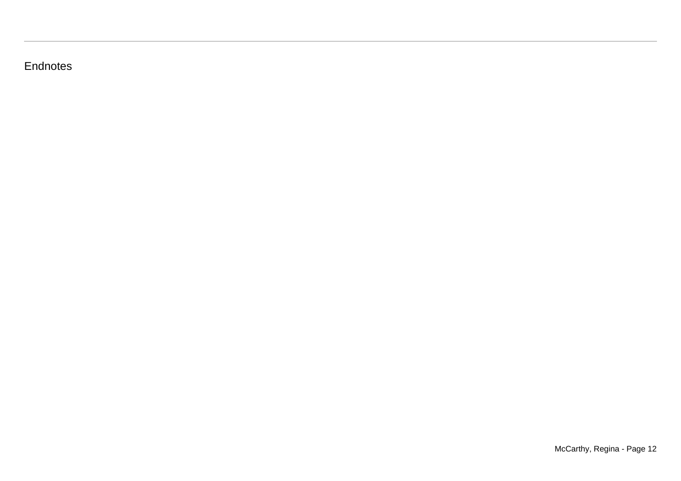## **Endnotes**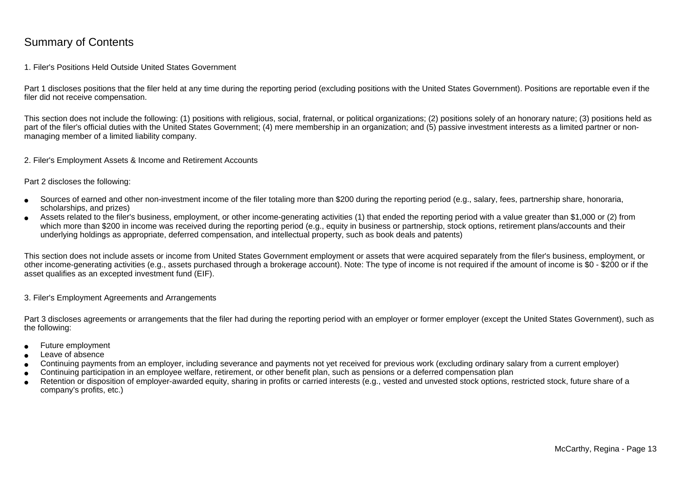### Summary of Contents

### 1. Filer's Positions Held Outside United States Government

Part 1 discloses positions that the filer held at any time during the reporting period (excluding positions with the United States Government). Positions are reportable even if the filer did not receive compensation.

This section does not include the following: (1) positions with religious, social, fraternal, or political organizations; (2) positions solely of an honorary nature; (3) positions held aspart of the filer's official duties with the United States Government; (4) mere membership in an organization; and (5) passive investment interests as a limited partner or nonmanaging member of a limited liability company.

2. Filer's Employment Assets & Income and Retirement Accounts

Part 2 discloses the following:

- ●Sources of earned and other non-investment income of the filer totaling more than \$200 during the reporting period (e.g., salary, fees, partnership share, honoraria,scholarships, and prizes)
- ● Assets related to the filer's business, employment, or other income-generating activities (1) that ended the reporting period with a value greater than \$1,000 or (2) fromwhich more than \$200 in income was received during the reporting period (e.g., equity in business or partnership, stock options, retirement plans/accounts and their underlying holdings as appropriate, deferred compensation, and intellectual property, such as book deals and patents)

This section does not include assets or income from United States Government employment or assets that were acquired separately from the filer's business, employment, or other income-generating activities (e.g., assets purchased through a brokerage account). Note: The type of income is not required if the amount of income is \$0 - \$200 or if theasset qualifies as an excepted investment fund (EIF).

3. Filer's Employment Agreements and Arrangements

Part 3 discloses agreements or arrangements that the filer had during the reporting period with an employer or former employer (except the United States Government), such as the following:

- ●Future employment
- ●Leave of absence
- ●Continuing payments from an employer, including severance and payments not yet received for previous work (excluding ordinary salary from a current employer)
- ●Continuing participation in an employee welfare, retirement, or other benefit plan, such as pensions or a deferred compensation plan
- ● Retention or disposition of employer-awarded equity, sharing in profits or carried interests (e.g., vested and unvested stock options, restricted stock, future share of acompany's profits, etc.)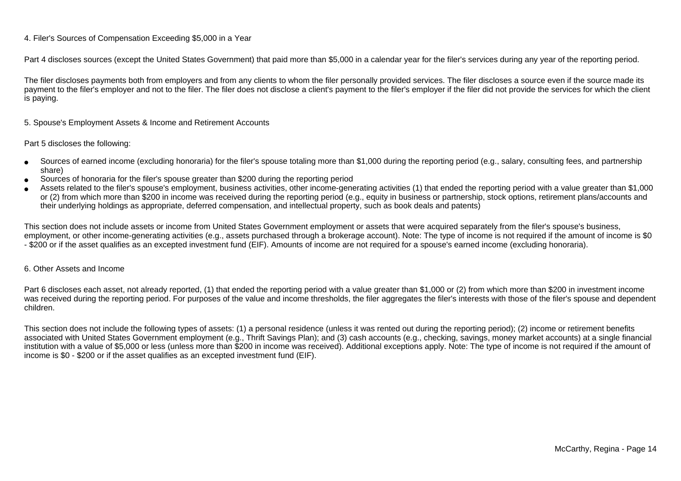### 4. Filer's Sources of Compensation Exceeding \$5,000 in a Year

Part 4 discloses sources (except the United States Government) that paid more than \$5,000 in a calendar year for the filer's services during any year of the reporting period.

The filer discloses payments both from employers and from any clients to whom the filer personally provided services. The filer discloses a source even if the source made itspayment to the filer's employer and not to the filer. The filer does not disclose a client's payment to the filer's employer if the filer did not provide the services for which the client is paying.

5. Spouse's Employment Assets & Income and Retirement Accounts

#### Part 5 discloses the following:

- ●Sources of earned income (excluding honoraria) for the filer's spouse totaling more than \$1,000 during the reporting period (e.g., salary, consulting fees, and partnershipshare)
- ●Sources of honoraria for the filer's spouse greater than \$200 during the reporting period
- ● Assets related to the filer's spouse's employment, business activities, other income-generating activities (1) that ended the reporting period with a value greater than \$1,000or (2) from which more than \$200 in income was received during the reporting period (e.g., equity in business or partnership, stock options, retirement plans/accounts and their underlying holdings as appropriate, deferred compensation, and intellectual property, such as book deals and patents)

This section does not include assets or income from United States Government employment or assets that were acquired separately from the filer's spouse's business,employment, or other income-generating activities (e.g., assets purchased through a brokerage account). Note: The type of income is not required if the amount of income is \$0 - \$200 or if the asset qualifies as an excepted investment fund (EIF). Amounts of income are not required for a spouse's earned income (excluding honoraria).

#### 6. Other Assets and Income

Part 6 discloses each asset, not already reported, (1) that ended the reporting period with a value greater than \$1,000 or (2) from which more than \$200 in investment income was received during the reporting period. For purposes of the value and income thresholds, the filer aggregates the filer's interests with those of the filer's spouse and dependentchildren.

This section does not include the following types of assets: (1) a personal residence (unless it was rented out during the reporting period); (2) income or retirement benefits associated with United States Government employment (e.g., Thrift Savings Plan); and (3) cash accounts (e.g., checking, savings, money market accounts) at a single financial institution with a value of \$5,000 or less (unless more than \$200 in income was received). Additional exceptions apply. Note: The type of income is not required if the amount ofincome is \$0 - \$200 or if the asset qualifies as an excepted investment fund (EIF).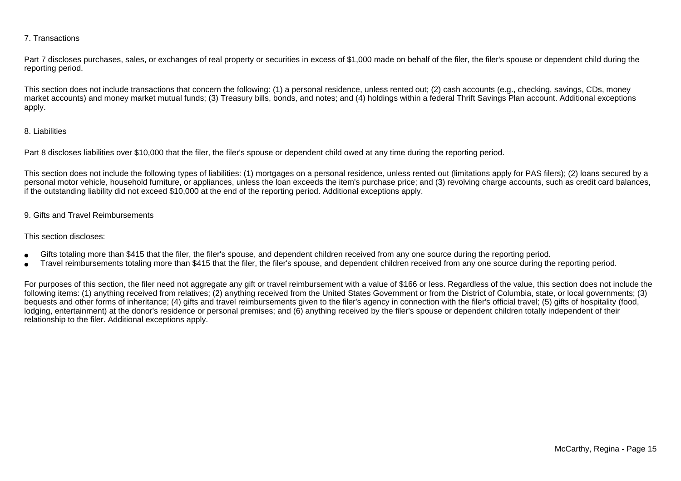### 7. Transactions

Part 7 discloses purchases, sales, or exchanges of real property or securities in excess of \$1,000 made on behalf of the filer, the filer's spouse or dependent child during the reporting period.

This section does not include transactions that concern the following: (1) a personal residence, unless rented out; (2) cash accounts (e.g., checking, savings, CDs, money market accounts) and money market mutual funds; (3) Treasury bills, bonds, and notes; and (4) holdings within a federal Thrift Savings Plan account. Additional exceptionsapply.

### 8. Liabilities

Part 8 discloses liabilities over \$10,000 that the filer, the filer's spouse or dependent child owed at any time during the reporting period.

This section does not include the following types of liabilities: (1) mortgages on a personal residence, unless rented out (limitations apply for PAS filers); (2) loans secured by a personal motor vehicle, household furniture, or appliances, unless the loan exceeds the item's purchase price; and (3) revolving charge accounts, such as credit card balances,if the outstanding liability did not exceed \$10,000 at the end of the reporting period. Additional exceptions apply.

### 9. Gifts and Travel Reimbursements

#### This section discloses:

- ●Gifts totaling more than \$415 that the filer, the filer's spouse, and dependent children received from any one source during the reporting period.
- ●Travel reimbursements totaling more than \$415 that the filer, the filer's spouse, and dependent children received from any one source during the reporting period.

For purposes of this section, the filer need not aggregate any gift or travel reimbursement with a value of \$166 or less. Regardless of the value, this section does not include the following items: (1) anything received from relatives; (2) anything received from the United States Government or from the District of Columbia, state, or local governments; (3)bequests and other forms of inheritance; (4) gifts and travel reimbursements given to the filer's agency in connection with the filer's official travel; (5) gifts of hospitality (food,lodging, entertainment) at the donor's residence or personal premises; and (6) anything received by the filer's spouse or dependent children totally independent of theirrelationship to the filer. Additional exceptions apply.